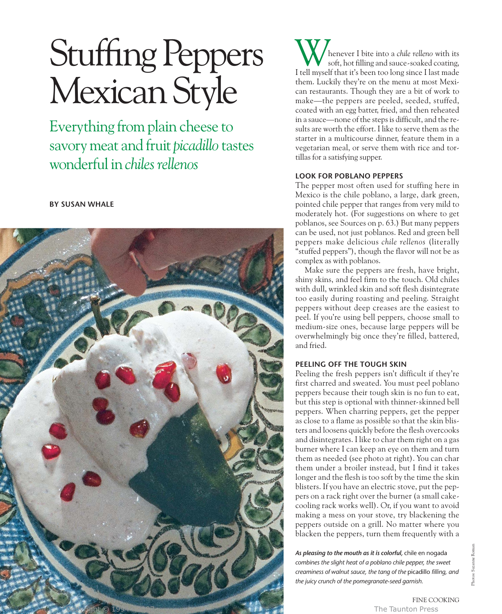# Stuffing Peppers Mexican Style

Everything from plain cheese to savory meat and fruit *picadillo* tastes wonderful in *chiles rellenos*

# **BY SUSAN WHALE**



henever I bite into a *chile relleno* with its soft, hot filling and sauce-soaked coating, Whenever I bite into a *chile relleno* with its<br>I tell myself that it's been too long since I last made them. Luckily they're on the menu at most Mexican restaurants. Though they are a bit of work to make—the peppers are peeled, seeded, stuffed, coated with an egg batter, fried, and then reheated in a sauce—none of the steps is difficult, and the results are worth the effort. I like to serve them as the starter in a multicourse dinner, feature them in a vegetarian meal, or serve them with rice and tortillas for a satisfying supper.

## **LOOK FOR POBLANO PEPPERS**

The pepper most often used for stuffing here in Mexico is the chile poblano, a large, dark green, pointed chile pepper that ranges from very mild to moderately hot. (For suggestions on where to get poblanos, see Sources on p. 63.) But many peppers can be used, not just poblanos. Red and green bell peppers make delicious *chile rellenos* (literally "stuffed peppers"), though the flavor will not be as complex as with poblanos.

Make sure the peppers are fresh, have bright, shiny skins, and feel firm to the touch. Old chiles with dull, wrinkled skin and soft flesh disintegrate too easily during roasting and peeling. Straight peppers without deep creases are the easiest to peel. If you're using bell peppers, choose small to medium-size ones, because large peppers will be overwhelmingly big once they're filled, battered, and fried.

# **PEELING OFF THE TOUGH SKIN**

Peeling the fresh peppers isn't difficult if they're first charred and sweated. You must peel poblano peppers because their tough skin is no fun to eat, but this step is optional with thinner-skinned bell peppers. When charring peppers, get the pepper as close to a flame as possible so that the skin blisters and loosens quickly before the flesh overcooks and disintegrates. I like to char them right on a gas burner where I can keep an eye on them and turn them as needed (see photo at right). You can char them under a broiler instead, but I find it takes longer and the flesh is too soft by the time the skin blisters. If you have an electric stove, put the peppers on a rack right over the burner (a small cakecooling rack works well). Or, if you want to avoid making a mess on your stove, try blackening the peppers outside on a grill. No matter where you blacken the peppers, turn them frequently with a

*As pleasing to the mouth as it is colorful,* chile en nogada *combines the slight heat of a poblano chile pepper, the sweet creaminess of walnut sauce, the tang of the* picadillo *filling, and the juicy crunch of the pomegranate-seed garnish.*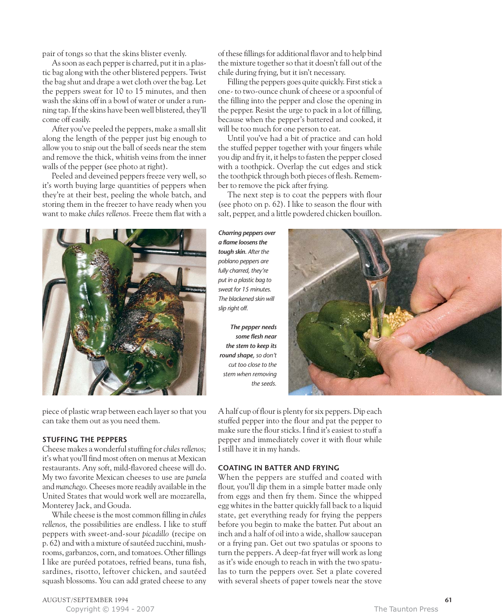pair of tongs so that the skins blister evenly.

As soon as each pepper is charred, put it in a plastic bag along with the other blistered peppers. Twist the bag shut and drape a wet cloth over the bag. Let the peppers sweat for 10 to 15 minutes, and then wash the skins off in a bowl of water or under a running tap. If the skins have been well blistered, they'll come off easily.

After you've peeled the peppers, make a small slit along the length of the pepper just big enough to allow you to snip out the ball of seeds near the stem and remove the thick, whitish veins from the inner walls of the pepper (see photo at right).

Peeled and deveined peppers freeze very well, so it's worth buying large quantities of peppers when they're at their best, peeling the whole batch, and storing them in the freezer to have ready when you want to make *chiles rellenos.* Freeze them flat with a



piece of plastic wrap between each layer so that you can take them out as you need them.

## **STUFFING THE PEPPERS**

Cheese makes a wonderful stuffing for *chiles rellenos;* it's what you'll find most often on menus at Mexican restaurants. Any soft, mild-flavored cheese will do. My two favorite Mexican cheeses to use are *panela* and *manchego.*Cheeses more readily available in the United States that would work well are mozzarella, Monterey Jack, and Gouda.

While cheese is the most common filling in *chiles rellenos,* the possibilities are endless. I like to stuff peppers with sweet-and-sour *picadillo* (recipe on p. 62) and with a mixture of sautéed zucchini, mushrooms, garbanzos, corn, and tomatoes. Other fillings I like are puréed potatoes, refried beans, tuna fish, sardines, risotto, leftover chicken, and sautéed squash blossoms. You can add grated cheese to any of these fillings for additional flavor and to help bind the mixture together so that it doesn't fall out of the chile during frying, but it isn't necessary.

Filling the peppers goes quite quickly. First stick a one- to two-ounce chunk of cheese or a spoonful of the filling into the pepper and close the opening in the pepper. Resist the urge to pack in a lot of filling, because when the pepper's battered and cooked, it will be too much for one person to eat.

Until you've had a bit of practice and can hold the stuffed pepper together with your fingers while you dip and fry it, it helps to fasten the pepper closed with a toothpick. Overlap the cut edges and stick the toothpick through both pieces of flesh. Remember to remove the pick after frying.

The next step is to coat the peppers with flour (see photo on p. 62). I like to season the flour with salt, pepper, and a little powdered chicken bouillon.

*Charring peppers over a flame loosens the tough skin. After the poblano peppers are fully charred, they're put in a plastic bag to sweat for 15 minutes. The blackened skin will slip right off.*

*The pepper needs some flesh near the stem to keep its round shape, so don't cut too close to the stem when removing the seeds.*



A half cup of flour is plenty for six peppers. Dip each stuffed pepper into the flour and pat the pepper to make sure the flour sticks. I find it's easiest to stuff a pepper and immediately cover it with flour while I still have it in my hands.

## **COATING IN BATTER AND FRYING**

When the peppers are stuffed and coated with flour, you'll dip them in a simple batter made only from eggs and then fry them. Since the whipped egg whites in the batter quickly fall back to a liquid state, get everything ready for frying the peppers before you begin to make the batter. Put about an inch and a half of oil into a wide, shallow saucepan or a frying pan. Get out two spatulas or spoons to turn the peppers. A deep-fat fryer will work as long as it's wide enough to reach in with the two spatulas to turn the peppers over. Set a plate covered with several sheets of paper towels near the stove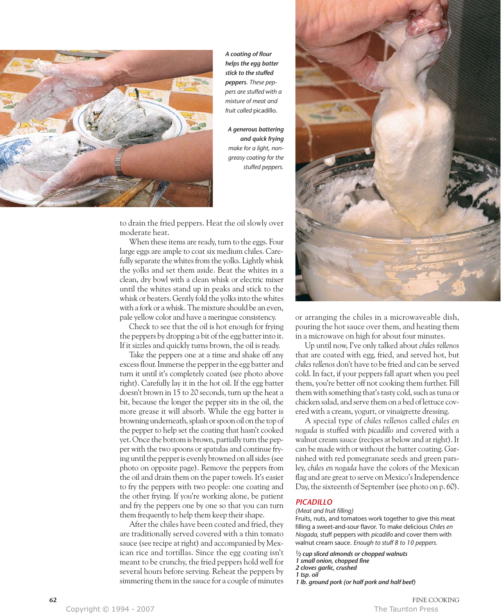

*A coating of flour helps the egg batter stick to the stuffed peppers. These peppers are stuffed with a mixture of meat and fruit called* picadillo.

*A generous battering and quick frying make for a light, nongreasy coating for the stuffed peppers.*

to drain the fried peppers. Heat the oil slowly over moderate heat.

When these items are ready, turn to the eggs. Four large eggs are ample to coat six medium chiles. Carefully separate the whites from the yolks. Lightly whisk the yolks and set them aside. Beat the whites in a clean, dry bowl with a clean whisk or electric mixer until the whites stand up in peaks and stick to the whisk or beaters. Gently fold the yolks into the whites with a fork or a whisk. The mixture should be an even, pale yellow color and have a meringue consistency.

Check to see that the oil is hot enough for frying the peppers by dropping a bit of the egg batter into it. If it sizzles and quickly turns brown, the oil is ready.

Take the peppers one at a time and shake off any excess flour. Immerse the pepper in the egg batter and turn it until it's completely coated (see photo above right). Carefully lay it in the hot oil. If the egg batter doesn't brown in 15 to 20 seconds, turn up the heat a bit, because the longer the pepper sits in the oil, the more grease it will absorb. While the egg batter is browning underneath, splash or spoon oil on the top of the pepper to help set the coating that hasn't cooked yet. Once the bottom is brown, partially turn the pepper with the two spoons or spatulas and continue frying until the pepper is evenly browned on all sides (see photo on opposite page). Remove the peppers from the oil and drain them on the paper towels. It's easier to fry the peppers with two people: one coating and the other frying. If you're working alone, be patient and fry the peppers one by one so that you can turn them frequently to help them keep their shape.

After the chiles have been coated and fried, they are traditionally served covered with a thin tomato sauce (see recipe at right) and accompanied by Mexican rice and tortillas. Since the egg coating isn't meant to be crunchy, the fried peppers hold well for several hours before serving. Reheat the peppers by simmering them in the sauce for a couple of minutes



or arranging the chiles in a microwaveable dish, pouring the hot sauce over them, and heating them in a microwave on high for about four minutes.

Up until now, I've only talked about *chiles rellenos* that are coated with egg, fried, and served hot, but *chiles rellenos* don't have to be fried and can be served cold. In fact, if your peppers fall apart when you peel them, you're better off not cooking them further. Fill them with something that's tasty cold, such as tuna or chicken salad, and serve them on a bed of lettuce covered with a cream, yogurt, or vinaigrette dressing.

A special type of *chiles rellenos* called *chiles en nogada* is stuffed with *picadillo* and covered with a walnut cream sauce (recipes at below and at right). It can be made with or without the batter coating. Garnished with red pomegranate seeds and green parsley, *chiles en nogada* have the colors of the Mexican flag and are great to serve on Mexico's Independence Day, the sixteenth of September (see photo on p. 60).

### *PICADILLO*

#### *(Meat and fruit filling)*

Fruits, nuts, and tomatoes work together to give this meat filling a sweet-and-sour flavor. To make delicious *Chiles en Nogada,* stuff peppers with *picadillo* and cover them with walnut cream sauce. *Enough to stuff 8 to 10 peppers.*

*1⁄2 cup sliced almonds or chopped walnuts 1 small onion, chopped fine 2 cloves garlic, crushed 1 tsp. oil 1 lb. ground pork (or half pork and half beef)*

**62** FINE COOKING